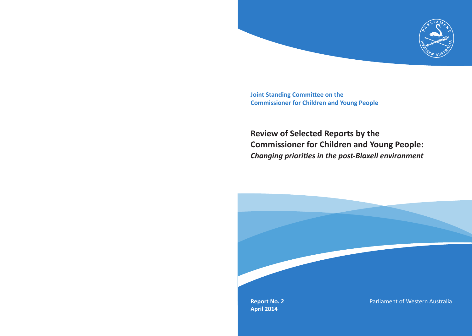

**Joint Standing Committee on the Commissioner for Children and Young People**

## **Review of Selected Reports by the Commissioner for Children and Young People:** *Changing priorities in the post-Blaxell environment*

**Report No. 2 April 2014**

Parliament of Western Australia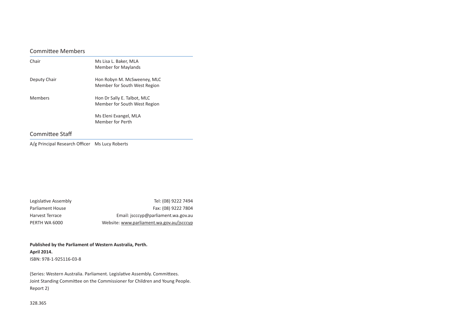### Committee Members

| Hon Robyn M. McSweeney, MLC<br>Member for South West Region |
|-------------------------------------------------------------|
| Hon Dr Sally E. Talbot, MLC<br>Member for South West Region |
| Ms Eleni Evangel, MLA<br>Member for Perth                   |
|                                                             |

### Committee Staff

A/g Principal Research Officer Ms Lucy Roberts

| Legislative Assembly | Tel: (08) 9222 7494                       |
|----------------------|-------------------------------------------|
| Parliament House     | Fax: (08) 9222 7804                       |
| Harvest Terrace      | Email: jscccyp@parliament.wa.gov.au       |
| PERTH WA 6000        | Website: www.parliament.wa.gov.au/jscccyp |

**Published by the Parliament of Western Australia, Perth. April 2014.** ISBN: 978-1-925116-03-8

(Series: Western Australia. Parliament. Legislative Assembly. Committees. Joint Standing Committee on the Commissioner for Children and Young People. Report 2)

328.365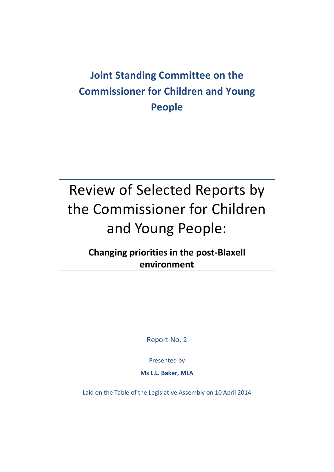## **Joint Standing Committee on the Commissioner for Children and Young People**

# Review of Selected Reports by the Commissioner for Children and Young People:

### **Changing priorities in the post-Blaxell environment**

Report No. 2

Presented by

**Ms L.L. Baker, MLA**

<span id="page-2-0"></span>Laid on the Table of the Legislative Assembly on 10 April 2014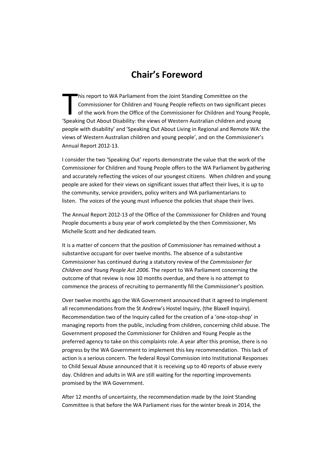### **Chair's Foreword**

his report to WA Parliament from the Joint Standing Committee on the Commissioner for Children and Young People reflects on two significant pieces of the work from the Office of the Commissioner for Children and Young People, his report to WA Parliament from the Joint Standing Committee on the<br>
Commissioner for Children and Young People reflects on two significant piece<br>
of the work from the Office of the Commissioner for Children and Young Peo people with disability' and 'Speaking Out About Living in Regional and Remote WA: the views of Western Australian children and young people', and on the Commissioner's Annual Report 2012-13.

I consider the two 'Speaking Out' reports demonstrate the value that the work of the Commissioner for Children and Young People offers to the WA Parliament by gathering and accurately reflecting the voices of our youngest citizens. When children and young people are asked for their views on significant issues that affect their lives, it is up to the community, service providers, policy writers and WA parliamentarians to listen. The voices of the young must influence the policies that shape their lives.

The Annual Report 2012-13 of the Office of the Commissioner for Children and Young People documents a busy year of work completed by the then Commissioner, Ms Michelle Scott and her dedicated team.

It is a matter of concern that the position of Commissioner has remained without a substantive occupant for over twelve months. The absence of a substantive Commissioner has continued during a statutory review of the *Commissioner for Children and Young People Act 2006*. The report to WA Parliament concerning the outcome of that review is now 10 months overdue, and there is no attempt to commence the process of recruiting to permanently fill the Commissioner's position.

Over twelve months ago the WA Government announced that it agreed to implement all recommendations from the St Andrew's Hostel Inquiry, (the Blaxell Inquiry). Recommendation two of the Inquiry called for the creation of a 'one-stop-shop' in managing reports from the public, including from children, concerning child abuse. The Government proposed the Commissioner for Children and Young People as the preferred agency to take on this complaints role. A year after this promise, there is no progress by the WA Government to implement this key recommendation. This lack of action is a serious concern. The federal Royal Commission into Institutional Responses to Child Sexual Abuse announced that it is receiving up to 40 reports of abuse every day. Children and adults in WA are still waiting for the reporting improvements promised by the WA Government.

After 12 months of uncertainty, the recommendation made by the Joint Standing Committee is that before the WA Parliament rises for the winter break in 2014, the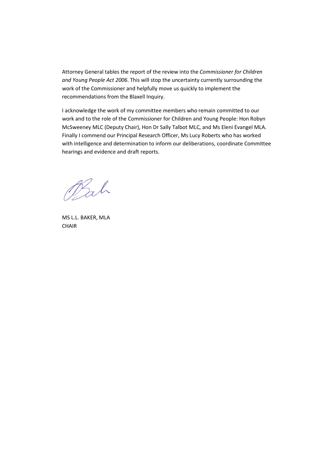Attorney General tables the report of the review into the *Commissioner for Children and Young People Act 2006*. This will stop the uncertainty currently surrounding the work of the Commissioner and helpfully move us quickly to implement the recommendations from the Blaxell Inquiry.

I acknowledge the work of my committee members who remain committed to our work and to the role of the Commissioner for Children and Young People: Hon Robyn McSweeney MLC (Deputy Chair), Hon Dr Sally Talbot MLC, and Ms Eleni Evangel MLA. Finally I commend our Principal Research Officer, Ms Lucy Roberts who has worked with intelligence and determination to inform our deliberations, coordinate Committee hearings and evidence and draft reports.

Bah

MS L.L. BAKER, MLA **CHAIR**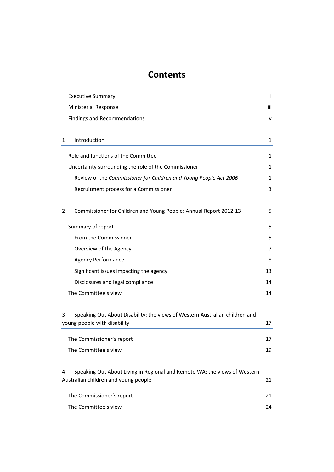### **Contents**

| <b>Executive Summary</b>                                                         | ÷   |
|----------------------------------------------------------------------------------|-----|
| <b>Ministerial Response</b>                                                      | iii |
| <b>Findings and Recommendations</b>                                              | v   |
|                                                                                  |     |
| Introduction<br>1                                                                | 1   |
| Role and functions of the Committee                                              | 1   |
| Uncertainty surrounding the role of the Commissioner                             | 1   |
| Review of the Commissioner for Children and Young People Act 2006                | 1   |
| Recruitment process for a Commissioner                                           | 3   |
|                                                                                  |     |
| Commissioner for Children and Young People: Annual Report 2012-13<br>2           | 5   |
| Summary of report                                                                | 5   |
| From the Commissioner                                                            | 5   |
| Overview of the Agency                                                           | 7   |
| <b>Agency Performance</b>                                                        | 8   |
| Significant issues impacting the agency                                          | 13  |
| Disclosures and legal compliance                                                 | 14  |
| The Committee's view                                                             | 14  |
|                                                                                  |     |
| Speaking Out About Disability: the views of Western Australian children and<br>3 |     |
| young people with disability                                                     | 17  |
| The Commissioner's report                                                        | 17  |
| The Committee's view                                                             | 19  |
|                                                                                  |     |
| Speaking Out About Living in Regional and Remote WA: the views of Western<br>4   |     |
| Australian children and young people                                             | 21  |
| The Commissioner's report                                                        | 21  |
| The Committee's view                                                             | 24  |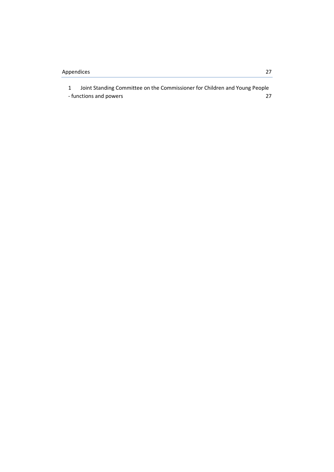| Joint Standing Committee on the Commissioner for Children and Young People |  |
|----------------------------------------------------------------------------|--|
| - functions and powers                                                     |  |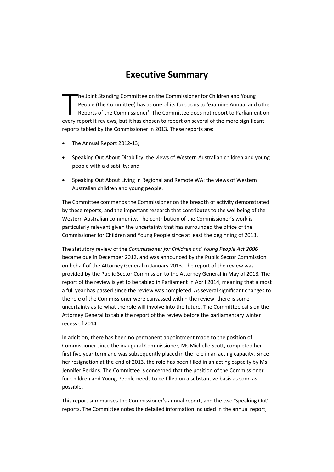### **Executive Summary**

he Joint Standing Committee on the Commissioner for Children and Young People (the Committee) has as one of its functions to 'examine Annual and other Reports of the Commissioner'. The Committee does not report to Parliament on The Joint Standing Committee on the Commissioner for Children and Young<br>
People (the Committee) has as one of its functions to 'examine Annual and oth<br>
Reports of the Commissioner'. The Committee does not report to Parliam reports tabled by the Commissioner in 2013. These reports are:

- The Annual Report 2012-13;
- Speaking Out About Disability: the views of Western Australian children and young people with a disability; and
- Speaking Out About Living in Regional and Remote WA: the views of Western Australian children and young people.

The Committee commends the Commissioner on the breadth of activity demonstrated by these reports, and the important research that contributes to the wellbeing of the Western Australian community. The contribution of the Commissioner's work is particularly relevant given the uncertainty that has surrounded the office of the Commissioner for Children and Young People since at least the beginning of 2013.

The statutory review of the *Commissioner for Children and Young People Act 2006* became due in December 2012, and was announced by the Public Sector Commission on behalf of the Attorney General in January 2013. The report of the review was provided by the Public Sector Commission to the Attorney General in May of 2013. The report of the review is yet to be tabled in Parliament in April 2014, meaning that almost a full year has passed since the review was completed. As several significant changes to the role of the Commissioner were canvassed within the review, there is some uncertainty as to what the role will involve into the future. The Committee calls on the Attorney General to table the report of the review before the parliamentary winter recess of 2014.

In addition, there has been no permanent appointment made to the position of Commissioner since the inaugural Commissioner, Ms Michelle Scott, completed her first five year term and was subsequently placed in the role in an acting capacity. Since her resignation at the end of 2013, the role has been filled in an acting capacity by Ms Jennifer Perkins. The Committee is concerned that the position of the Commissioner for Children and Young People needs to be filled on a substantive basis as soon as possible.

This report summarises the Commissioner's annual report, and the two 'Speaking Out' reports. The Committee notes the detailed information included in the annual report,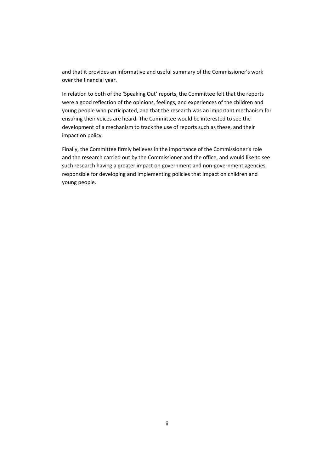and that it provides an informative and useful summary of the Commissioner's work over the financial year.

In relation to both of the 'Speaking Out' reports, the Committee felt that the reports were a good reflection of the opinions, feelings, and experiences of the children and young people who participated, and that the research was an important mechanism for ensuring their voices are heard. The Committee would be interested to see the development of a mechanism to track the use of reports such as these, and their impact on policy.

Finally, the Committee firmly believes in the importance of the Commissioner's role and the research carried out by the Commissioner and the office, and would like to see such research having a greater impact on government and non-government agencies responsible for developing and implementing policies that impact on children and young people.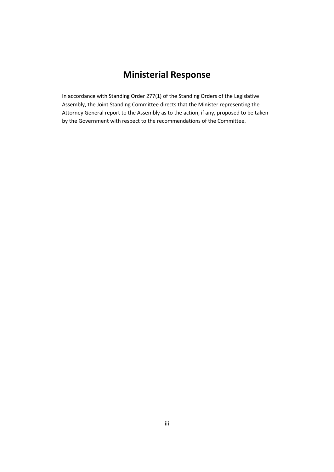### **Ministerial Response**

In accordance with Standing Order 277(1) of the Standing Orders of the Legislative Assembly, the Joint Standing Committee directs that the Minister representing the Attorney General report to the Assembly as to the action, if any, proposed to be taken by the Government with respect to the recommendations of the Committee.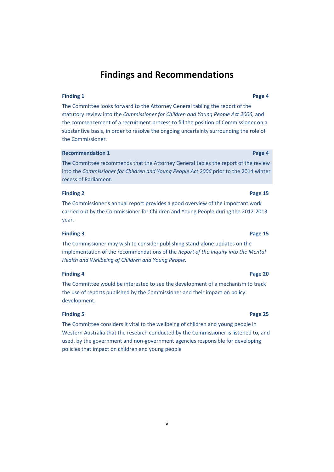### **Findings and Recommendations**

#### **Finding 1 Page 4**

The Committee looks forward to the Attorney General tabling the report of the statutory review into the *Commissioner for Children and Young People Act 2006*, and the commencement of a recruitment process to fill the position of Commissioner on a substantive basis, in order to resolve the ongoing uncertainty surrounding the role of the Commissioner.

#### **Recommendation 1 Page 4 Page 4**

The Committee recommends that the Attorney General tables the report of the review into the *Commissioner for Children and Young People Act 2006* prior to the 2014 winter recess of Parliament.

#### **Finding 2 Page 15**

The Commissioner's annual report provides a good overview of the important work carried out by the Commissioner for Children and Young People during the 2012-2013 year.

#### **Finding 3 Page 15**

The Commissioner may wish to consider publishing stand-alone updates on the implementation of the recommendations of the *Report of the Inquiry into the Mental Health and Wellbeing of Children and Young People.*

#### **Finding 4 Page 20**

The Committee would be interested to see the development of a mechanism to track the use of reports published by the Commissioner and their impact on policy development.

#### **Finding 5 Page 25**

The Committee considers it vital to the wellbeing of children and young people in Western Australia that the research conducted by the Commissioner is listened to, and used, by the government and non-government agencies responsible for developing policies that impact on children and young people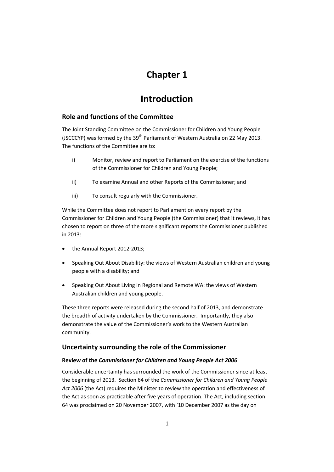### **Chapter 1**

### **Introduction**

### **Role and functions of the Committee**

The Joint Standing Committee on the Commissioner for Children and Young People (JSCCCYP) was formed by the  $39<sup>th</sup>$  Parliament of Western Australia on 22 May 2013. The functions of the Committee are to:

- i) Monitor, review and report to Parliament on the exercise of the functions of the Commissioner for Children and Young People;
- ii) To examine Annual and other Reports of the Commissioner; and
- iii) To consult regularly with the Commissioner.

While the Committee does not report to Parliament on every report by the Commissioner for Children and Young People (the Commissioner) that it reviews, it has chosen to report on three of the more significant reports the Commissioner published in 2013:

- the Annual Report 2012-2013;
- Speaking Out About Disability: the views of Western Australian children and young people with a disability; and
- Speaking Out About Living in Regional and Remote WA: the views of Western Australian children and young people.

These three reports were released during the second half of 2013, and demonstrate the breadth of activity undertaken by the Commissioner. Importantly, they also demonstrate the value of the Commissioner's work to the Western Australian community.

### **Uncertainty surrounding the role of the Commissioner**

#### **Review of the** *Commissioner for Children and Young People Act 2006*

Considerable uncertainty has surrounded the work of the Commissioner since at least the beginning of 2013. Section 64 of the *Commissioner for Children and Young People Act 2006* (the Act) requires the Minister to review the operation and effectiveness of the Act as soon as practicable after five years of operation. The Act, including section 64 was proclaimed on 20 November 2007, with '10 December 2007 as the day on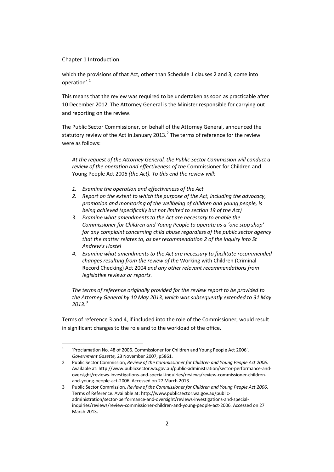#### Chapter 1 Introduction

which the provisions of that Act, other than Schedule 1 clauses 2 and 3, come into operation'.[1](#page-2-0)

This means that the review was required to be undertaken as soon as practicable after 10 December 2012. The Attorney General is the Minister responsible for carrying out and reporting on the review.

The Public Sector Commissioner, on behalf of the Attorney General, announced the statutory review of the Act in January [2](#page-15-0)013. $^2$  The terms of reference for the review were as follows:

*At the request of the Attorney General, the Public Sector Commission will conduct a review of the operation and effectiveness of the* Commissioner for Children and Young People Act 2006 *(the Act). To this end the review will:*

- *1. Examine the operation and effectiveness of the Act*
- *2. Report on the extent to which the purpose of the Act, including the advocacy, promotion and monitoring of the wellbeing of children and young people, is being achieved (specifically but not limited to section 19 of the Act)*
- *3. Examine what amendments to the Act are necessary to enable the Commissioner for Children and Young People to operate as a 'one stop shop' for any complaint concerning child abuse regardless of the public sector agency that the matter relates to, as per recommendation 2 of the Inquiry into St Andrew's Hostel*
- *4. Examine what amendments to the Act are necessary to facilitate recommended changes resulting from the review of the* Working with Children (Criminal Record Checking) Act 2004 *and any other relevant recommendations from legislative reviews or reports.*

*The terms of reference originally provided for the review report to be provided to the Attorney General by 10 May 2013, which was subsequently extended to 31 May 2013.[3](#page-15-1)*

Terms of reference 3 and 4, if included into the role of the Commissioner, would result in significant changes to the role and to the workload of the office.

<sup>&</sup>lt;sup>1</sup> 'Proclamation No. 48 of 2006. Commissioner for Children and Young People Act 2006', *Government Gazette,* 23 November 2007, p5861.

<span id="page-15-2"></span><span id="page-15-0"></span><sup>2</sup> Public Sector Commission, *Review of the Commissioner for Children and Young People Act 2006*. Available at: http://www.publicsector.wa.gov.au/public-administration/sector-performance-andoversight/reviews-investigations-and-special-inquiries/reviews/review-commissioner-childrenand-young-people-act-2006. Accessed on 27 March 2013.

<span id="page-15-1"></span><sup>3</sup> Public Sector Commission, *Review of the Commissioner for Children and Young People Act 2006*. Terms of Reference. Available at: http://www.publicsector.wa.gov.au/publicadministration/sector-performance-and-oversight/reviews-investigations-and-specialinquiries/reviews/review-commissioner-children-and-young-people-act-2006. Accessed on 27 March 2013.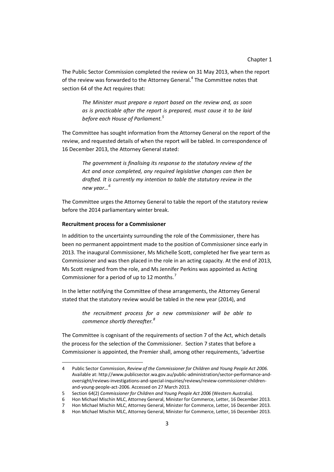The Public Sector Commission completed the review on 31 May 2013, when the report of the review was forwarded to the Attorney General.<sup>[4](#page-15-2)</sup> The Committee notes that section 64 of the Act requires that:

*The Minister must prepare a report based on the review and, as soon as is practicable after the report is prepared, must cause it to be laid before each House of Parliament.[5](#page-16-0)*

The Committee has sought information from the Attorney General on the report of the review, and requested details of when the report will be tabled. In correspondence of 16 December 2013, the Attorney General stated:

*The government is finalising its response to the statutory review of the Act and once completed, any required legislative changes can then be drafted. It is currently my intention to table the statutory review in the new year…[6](#page-16-1)*

The Committee urges the Attorney General to table the report of the statutory review before the 2014 parliamentary winter break.

#### **Recruitment process for a Commissioner**

 $\overline{a}$ 

In addition to the uncertainty surrounding the role of the Commissioner, there has been no permanent appointment made to the position of Commissioner since early in 2013. The inaugural Commissioner, Ms Michelle Scott, completed her five year term as Commissioner and was then placed in the role in an acting capacity. At the end of 2013, Ms Scott resigned from the role, and Ms Jennifer Perkins was appointed as Acting Commissioner for a period of up to 12 months.<sup>[7](#page-16-2)</sup>

In the letter notifying the Committee of these arrangements, the Attorney General stated that the statutory review would be tabled in the new year (2014), and

> *the recruitment process for a new commissioner will be able to commence shortly thereafter.[8](#page-16-3)*

The Committee is cognisant of the requirements of section 7 of the Act, which details the process for the selection of the Commissioner. Section 7 states that before a Commissioner is appointed, the Premier shall, among other requirements, 'advertise

<sup>4</sup> Public Sector Commission, *Review of the Commissioner for Children and Young People Act 2006*. Available at: http://www.publicsector.wa.gov.au/public-administration/sector-performance-andoversight/reviews-investigations-and-special-inquiries/reviews/review-commissioner-childrenand-young-people-act-2006. Accessed on 27 March 2013.

<span id="page-16-0"></span><sup>5</sup> Section 64(2) *Commissioner for Children and Young People Act 2006* (Western Australia).

<span id="page-16-1"></span><sup>6</sup> Hon Michael Mischin MLC, Attorney General, Minister for Commerce, Letter, 16 December 2013.

<span id="page-16-2"></span><sup>7</sup> Hon Michael Mischin MLC, Attorney General, Minister for Commerce, Letter, 16 December 2013.

<span id="page-16-3"></span><sup>8</sup> Hon Michael Mischin MLC, Attorney General, Minister for Commerce, Letter, 16 December 2013.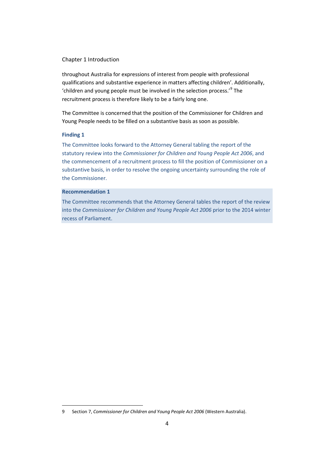#### Chapter 1 Introduction

throughout Australia for expressions of interest from people with professional qualifications and substantive experience in matters affecting children'. Additionally, 'children and young people must be involved in the selection process.'[9](#page-16-3) The recruitment process is therefore likely to be a fairly long one.

The Committee is concerned that the position of the Commissioner for Children and Young People needs to be filled on a substantive basis as soon as possible.

#### **Finding 1**

 $\overline{a}$ 

The Committee looks forward to the Attorney General tabling the report of the statutory review into the *Commissioner for Children and Young People Act 2006*, and the commencement of a recruitment process to fill the position of Commissioner on a substantive basis, in order to resolve the ongoing uncertainty surrounding the role of the Commissioner.

#### **Recommendation 1**

The Committee recommends that the Attorney General tables the report of the review into the *Commissioner for Children and Young People Act 2006* prior to the 2014 winter recess of Parliament.

<span id="page-17-0"></span><sup>9</sup> Section 7, *Commissioner for Children and Young People Act 2006* (Western Australia).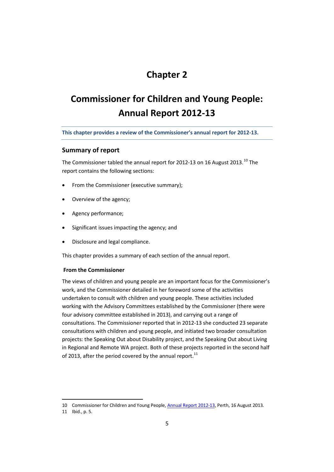### **Chapter 2**

## **Commissioner for Children and Young People: Annual Report 2012-13**

**This chapter provides a review of the Commissioner's annual report for 2012-13.**

#### **Summary of report**

The Commissioner tabled the annual report for 2012-13 on 16 August 2013.<sup>[10](#page-17-0)</sup> The report contains the following sections:

- From the Commissioner (executive summary);
- Overview of the agency;
- Agency performance;
- Significant issues impacting the agency; and
- Disclosure and legal compliance.

This chapter provides a summary of each section of the annual report.

#### **From the Commissioner**

The views of children and young people are an important focus for the Commissioner's work, and the Commissioner detailed in her foreword some of the activities undertaken to consult with children and young people. These activities included working with the Advisory Committees established by the Commissioner (there were four advisory committee established in 2013), and carrying out a range of consultations. The Commissioner reported that in 2012-13 she conducted 23 separate consultations with children and young people, and initiated two broader consultation projects: the Speaking Out about Disability project, and the Speaking Out about Living in Regional and Remote WA project. Both of these projects reported in the second half of 2013, after the period covered by the annual report.<sup>[11](#page-18-0)</sup>

<span id="page-18-1"></span><sup>10</sup> Commissioner for Children and Young People[, Annual Report 2012-13,](http://www.ccyp.wa.gov.au/content.aspx?cID=755) Perth, 16 August 2013.

<span id="page-18-0"></span><sup>11</sup> Ibid., p. 5.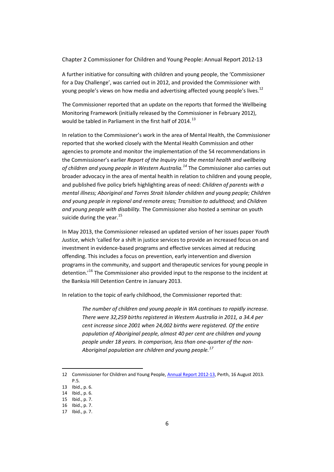Chapter 2 Commissioner for Children and Young People: Annual Report 2012-13

A further initiative for consulting with children and young people, the 'Commissioner for a Day Challenge', was carried out in 2012, and provided the Commissioner with young people's views on how media and advertising affected young people's lives.<sup>[12](#page-18-1)</sup>

The Commissioner reported that an update on the reports that formed the Wellbeing Monitoring Framework (initially released by the Commissioner in February 2012), would be tabled in Parliament in the first half of 2014.<sup>[13](#page-19-0)</sup>

In relation to the Commissioner's work in the area of Mental Health, the Commissioner reported that she worked closely with the Mental Health Commission and other agencies to promote and monitor the implementation of the 54 recommendations in the Commissioner's earlier *Report of the Inquiry into the mental health and wellbeing of children and young people in Western Australia.[14](#page-19-1)* The Commissioner also carries out broader advocacy in the area of mental health in relation to children and young people, and published five policy briefs highlighting areas of need: *Children of parents with a mental illness; Aboriginal and Torres Strait Islander children and young people; Children and young people in regional and remote areas; Transition to adulthood;* and *Children and young people with disability.* The Commissioner also hosted a seminar on youth suicide during the year. $^{15}$  $^{15}$  $^{15}$ 

In May 2013, the Commissioner released an updated version of her issues paper *Youth Justice*, which 'called for a shift in justice services to provide an increased focus on and investment in evidence-based programs and effective services aimed at reducing offending. This includes a focus on prevention, early intervention and diversion programs in the community, and support and therapeutic services for young people in detention.<sup>[16](#page-19-3)</sup> The Commissioner also provided input to the response to the incident at the Banksia Hill Detention Centre in January 2013.

In relation to the topic of early childhood, the Commissioner reported that:

*The number of children and young people in WA continues to rapidly increase. There were 32,259 births registered in Western Australia in 2011, a 34.4 per cent increase since 2001 when 24,002 births were registered. Of the entire population of Aboriginal people, almost 40 per cent are children and young people under 18 years. In comparison, less than one-quarter of the non-Aboriginal population are children and young people.[17](#page-19-4)*

 $\overline{a}$ 12 Commissioner for Children and Young People[, Annual Report 2012-13,](http://www.ccyp.wa.gov.au/content.aspx?cID=755) Perth, 16 August 2013. P.5.

<span id="page-19-0"></span><sup>13</sup> Ibid., p. 6.

<span id="page-19-1"></span><sup>14</sup> Ibid., p. 6.

<span id="page-19-2"></span><sup>15</sup> Ibid., p. 7.

<span id="page-19-3"></span><sup>16</sup> Ibid., p. 7.

<span id="page-19-4"></span><sup>17</sup> Ibid., p. 7.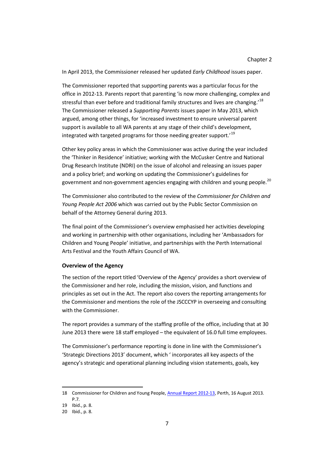In April 2013, the Commissioner released her updated *Early Childhood* issues paper.

The Commissioner reported that supporting parents was a particular focus for the office in 2012-13. Parents report that parenting 'is now more challenging, complex and stressful than ever before and traditional family structures and lives are changing.<sup>[18](#page-19-1)</sup> The Commissioner released a *Supporting Parents* issues paper in May 2013, which argued, among other things, for 'increased investment to ensure universal parent support is available to all WA parents at any stage of their child's development, integrated with targeted programs for those needing greater support.'[19](#page-20-0)

Other key policy areas in which the Commissioner was active during the year included the 'Thinker in Residence' initiative; working with the McCusker Centre and National Drug Research Institute (NDRI) on the issue of alcohol and releasing an issues paper and a policy brief; and working on updating the Commissioner's guidelines for government and non-government agencies engaging with children and young people.<sup>[20](#page-20-1)</sup>

The Commissioner also contributed to the review of the *Commissioner for Children and Young People Act 2006* which was carried out by the Public Sector Commission on behalf of the Attorney General during 2013.

The final point of the Commissioner's overview emphasised her activities developing and working in partnership with other organisations, including her 'Ambassadors for Children and Young People' initiative, and partnerships with the Perth International Arts Festival and the Youth Affairs Council of WA.

#### **Overview of the Agency**

The section of the report titled 'Overview of the Agency' provides a short overview of the Commissioner and her role, including the mission, vision, and functions and principles as set out in the Act. The report also covers the reporting arrangements for the Commissioner and mentions the role of the JSCCCYP in overseeing and consulting with the Commissioner.

The report provides a summary of the staffing profile of the office, including that at 30 June 2013 there were 18 staff employed – the equivalent of 16.0 full time employees.

The Commissioner's performance reporting is done in line with the Commissioner's 'Strategic Directions 2013' document, which ' incorporates all key aspects of the agency's strategic and operational planning including vision statements, goals, key

<span id="page-20-2"></span> $\ddot{\phantom{a}}$ 18 Commissioner for Children and Young People[, Annual Report 2012-13,](http://www.ccyp.wa.gov.au/content.aspx?cID=755) Perth, 16 August 2013. P.7.

<span id="page-20-1"></span><span id="page-20-0"></span><sup>19</sup> Ibid., p. 8.

<sup>20</sup> Ibid., p. 8.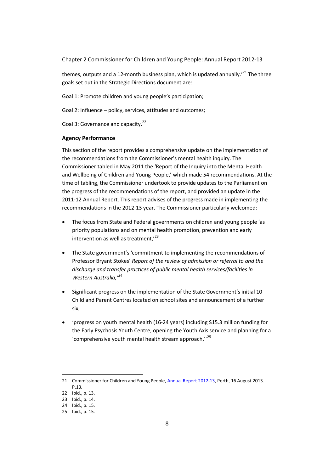Chapter 2 Commissioner for Children and Young People: Annual Report 2012-13

themes, outputs and a 12-month business plan, which is updated annually.<sup> $21$ </sup> The three goals set out in the Strategic Directions document are:

Goal 1: Promote children and young people's participation;

Goal 2: Influence – policy, services, attitudes and outcomes;

Goal 3: Governance and capacity.<sup>[22](#page-21-0)</sup>

#### **Agency Performance**

This section of the report provides a comprehensive update on the implementation of the recommendations from the Commissioner's mental health inquiry. The Commissioner tabled in May 2011 the 'Report of the Inquiry into the Mental Health and Wellbeing of Children and Young People,' which made 54 recommendations. At the time of tabling, the Commissioner undertook to provide updates to the Parliament on the progress of the recommendations of the report, and provided an update in the 2011-12 Annual Report. This report advises of the progress made in implementing the recommendations in the 2012-13 year. The Commissioner particularly welcomed:

- The focus from State and Federal governments on children and young people 'as priority populations and on mental health promotion, prevention and early intervention as well as treatment. $i^{23}$  $i^{23}$  $i^{23}$
- The State government's 'commitment to implementing the recommendations of Professor Bryant Stokes' *Report of the review of admission or referral to and the discharge and transfer practices of public mental health services/facilities in Western Australia,'[24](#page-21-2)*
- Significant progress on the implementation of the State Government's initial 10 Child and Parent Centres located on school sites and announcement of a further six,
- 'progress on youth mental health (16-24 years) including \$15.3 million funding for the Early Psychosis Youth Centre, opening the Youth Axis service and planning for a 'comprehensive youth mental health stream approach,''[25](#page-21-3)

<span id="page-21-4"></span><sup>21</sup> Commissioner for Children and Young People[, Annual Report 2012-13,](http://www.ccyp.wa.gov.au/content.aspx?cID=755) Perth, 16 August 2013. P.13.

<span id="page-21-0"></span><sup>22</sup> Ibid., p. 13.

<span id="page-21-1"></span><sup>23</sup> Ibid., p. 14.

<span id="page-21-2"></span><sup>24</sup> Ibid., p. 15.

<span id="page-21-3"></span><sup>25</sup> Ibid., p. 15.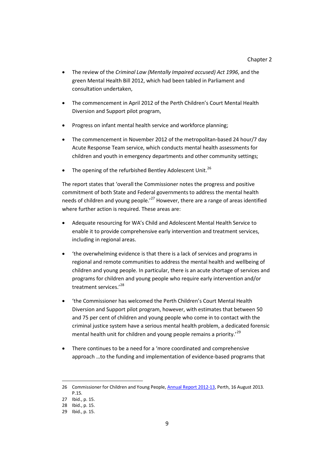- The review of the *Criminal Law (Mentally Impaired accused) Act 1996*, and the green Mental Health Bill 2012, which had been tabled in Parliament and consultation undertaken,
- The commencement in April 2012 of the Perth Children's Court Mental Health Diversion and Support pilot program,
- Progress on infant mental health service and workforce planning;
- The commencement in November 2012 of the metropolitan-based 24 hour/7 day Acute Response Team service, which conducts mental health assessments for children and youth in emergency departments and other community settings;
- The opening of the refurbished Bentley Adolescent Unit.<sup>[26](#page-21-4)</sup>

The report states that 'overall the Commissioner notes the progress and positive commitment of both State and Federal governments to address the mental health needs of children and young people.<sup>[27](#page-22-0)</sup> However, there are a range of areas identified where further action is required. These areas are:

- Adequate resourcing for WA's Child and Adolescent Mental Health Service to enable it to provide comprehensive early intervention and treatment services, including in regional areas.
- 'the overwhelming evidence is that there is a lack of services and programs in regional and remote communities to address the mental health and wellbeing of children and young people. In particular, there is an acute shortage of services and programs for children and young people who require early intervention and/or treatment services.'[28](#page-22-1)
- 'the Commissioner has welcomed the Perth Children's Court Mental Health Diversion and Support pilot program, however, with estimates that between 50 and 75 per cent of children and young people who come in to contact with the criminal justice system have a serious mental health problem, a dedicated forensic mental health unit for children and young people remains a priority.<sup>[29](#page-22-2)</sup>
- There continues to be a need for a 'more coordinated and comprehensive approach …to the funding and implementation of evidence-based programs that

<span id="page-22-3"></span><sup>26</sup> Commissioner for Children and Young People[, Annual Report 2012-13,](http://www.ccyp.wa.gov.au/content.aspx?cID=755) Perth, 16 August 2013. P.15.

<span id="page-22-0"></span><sup>27</sup> Ibid., p. 15.

<span id="page-22-1"></span><sup>28</sup> Ibid., p. 15.

<span id="page-22-2"></span><sup>29</sup> Ibid., p. 15.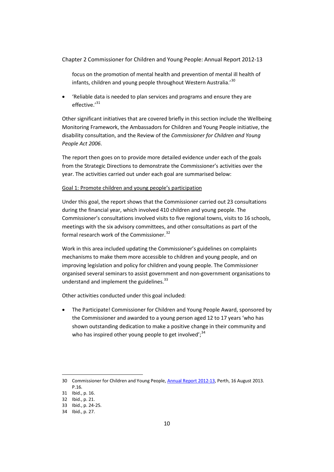#### Chapter 2 Commissioner for Children and Young People: Annual Report 2012-13

focus on the promotion of mental health and prevention of mental ill health of infants, children and young people throughout Western Australia.'[30](#page-22-3)

• 'Reliable data is needed to plan services and programs and ensure they are effective.'<sup>[31](#page-23-0)</sup>

Other significant initiatives that are covered briefly in this section include the Wellbeing Monitoring Framework, the Ambassadors for Children and Young People initiative, the disability consultation, and the Review of the *Commissioner for Children and Young People Act 2006*.

The report then goes on to provide more detailed evidence under each of the goals from the Strategic Directions to demonstrate the Commissioner's activities over the year. The activities carried out under each goal are summarised below:

#### Goal 1: Promote children and young people's participation

Under this goal, the report shows that the Commissioner carried out 23 consultations during the financial year, which involved 410 children and young people. The Commissioner's consultations involved visits to five regional towns, visits to 16 schools, meetings with the six advisory committees, and other consultations as part of the formal research work of the Commissioner.<sup>[32](#page-23-1)</sup>

Work in this area included updating the Commissioner's guidelines on complaints mechanisms to make them more accessible to children and young people, and on improving legislation and policy for children and young people. The Commissioner organised several seminars to assist government and non-government organisations to understand and implement the guidelines.<sup>[33](#page-23-2)</sup>

Other activities conducted under this goal included:

• The Participate! Commissioner for Children and Young People Award, sponsored by the Commissioner and awarded to a young person aged 12 to 17 years 'who has shown outstanding dedication to make a positive change in their community and who has inspired other young people to get involved';  $34$ 

<span id="page-23-4"></span><sup>30</sup> Commissioner for Children and Young People[, Annual Report 2012-13,](http://www.ccyp.wa.gov.au/content.aspx?cID=755) Perth, 16 August 2013. P.16.

<span id="page-23-0"></span><sup>31</sup> Ibid., p. 16.

<span id="page-23-1"></span><sup>32</sup> Ibid., p. 21.

<span id="page-23-2"></span><sup>33</sup> Ibid., p. 24-25.

<span id="page-23-3"></span><sup>34</sup> Ibid., p. 27.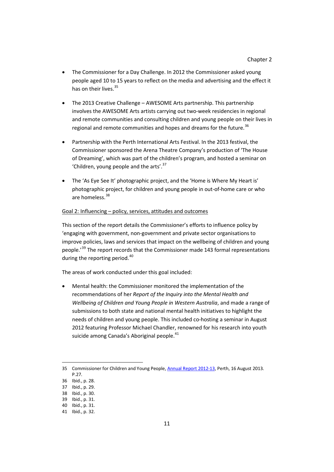- The Commissioner for a Day Challenge. In 2012 the Commissioner asked young people aged 10 to 15 years to reflect on the media and advertising and the effect it has on their lives.<sup>[35](#page-23-4)</sup>
- The 2013 Creative Challenge AWESOME Arts partnership. This partnership involves the AWESOME Arts artists carrying out two-week residencies in regional and remote communities and consulting children and young people on their lives in regional and remote communities and hopes and dreams for the future.<sup>[36](#page-24-0)</sup>
- Partnership with the Perth International Arts Festival. In the 2013 festival, the Commissioner sponsored the Arena Theatre Company's production of 'The House of Dreaming', which was part of the children's program, and hosted a seminar on 'Children, young people and the arts'.<sup>[37](#page-24-1)</sup>
- The 'As Eye See It' photographic project, and the 'Home is Where My Heart is' photographic project, for children and young people in out-of-home care or who are homeless.<sup>[38](#page-24-2)</sup>

#### Goal 2: Influencing – policy, services, attitudes and outcomes

This section of the report details the Commissioner's efforts to influence policy by 'engaging with government, non-government and private sector organisations to improve policies, laws and services that impact on the wellbeing of children and young people.<sup>'[39](#page-24-3)</sup> The report records that the Commissioner made 143 formal representations during the reporting period.<sup>[40](#page-24-4)</sup>

The areas of work conducted under this goal included:

• Mental health: the Commissioner monitored the implementation of the recommendations of her *Report of the Inquiry into the Mental Health and Wellbeing of Children and Young People in Western Australia*, and made a range of submissions to both state and national mental health initiatives to highlight the needs of children and young people. This included co-hosting a seminar in August 2012 featuring Professor Michael Chandler, renowned for his research into youth suicide among Canada's Aboriginal people.<sup>[41](#page-24-5)</sup>

 $\ddot{\phantom{a}}$ 

<sup>35</sup> Commissioner for Children and Young People[, Annual Report 2012-13,](http://www.ccyp.wa.gov.au/content.aspx?cID=755) Perth, 16 August 2013. P.27.

<span id="page-24-6"></span><span id="page-24-0"></span><sup>36</sup> Ibid., p. 28.

<span id="page-24-1"></span><sup>37</sup> Ibid., p. 29.

<span id="page-24-2"></span><sup>38</sup> Ibid., p. 30.

<span id="page-24-3"></span><sup>39</sup> Ibid., p. 31.

<span id="page-24-4"></span><sup>40</sup> Ibid., p. 31.

<span id="page-24-5"></span><sup>41</sup> Ibid., p. 32.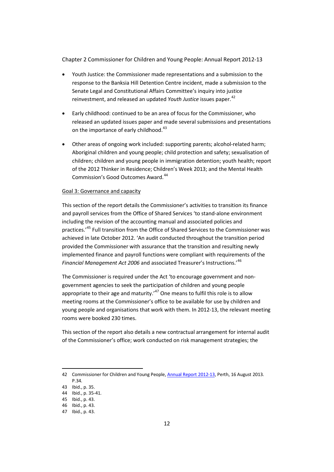Chapter 2 Commissioner for Children and Young People: Annual Report 2012-13

- Youth Justice: the Commissioner made representations and a submission to the response to the Banksia Hill Detention Centre incident, made a submission to the Senate Legal and Constitutional Affairs Committee's inquiry into justice reinvestment, and released an updated *Youth Justice* issues paper.<sup>[42](#page-24-6)</sup>
- Early childhood: continued to be an area of focus for the Commissioner, who released an updated issues paper and made several submissions and presentations on the importance of early childhood.<sup>[43](#page-25-0)</sup>
- Other areas of ongoing work included: supporting parents; alcohol-related harm; Aboriginal children and young people; child protection and safety; sexualisation of children; children and young people in immigration detention; youth health; report of the 2012 Thinker in Residence; Children's Week 2013; and the Mental Health Commission's Good Outcomes Award.<sup>[44](#page-25-1)</sup>

#### Goal 3: Governance and capacity

This section of the report details the Commissioner's activities to transition its finance and payroll services from the Office of Shared Services 'to stand-alone environment including the revision of the accounting manual and associated policies and practices.'[45](#page-25-2) Full transition from the Office of Shared Services to the Commissioner was achieved in late October 2012. 'An audit conducted throughout the transition period provided the Commissioner with assurance that the transition and resulting newly implemented finance and payroll functions were compliant with requirements of the *Financial Management Act 2006* and associated Treasurer's Instructions.'[46](#page-25-3)

The Commissioner is required under the Act 'to encourage government and nongovernment agencies to seek the participation of children and young people appropriate to their age and maturity.<sup> $47$ </sup> One means to fulfil this role is to allow meeting rooms at the Commissioner's office to be available for use by children and young people and organisations that work with them. In 2012-13, the relevant meeting rooms were booked 230 times.

This section of the report also details a new contractual arrangement for internal audit of the Commissioner's office; work conducted on risk management strategies; the

 $\ddot{\phantom{a}}$ 

<span id="page-25-5"></span><sup>42</sup> Commissioner for Children and Young People[, Annual Report 2012-13,](http://www.ccyp.wa.gov.au/content.aspx?cID=755) Perth, 16 August 2013. P.34.

<span id="page-25-0"></span><sup>43</sup> Ibid., p. 35.

<span id="page-25-1"></span><sup>44</sup> Ibid., p. 35-41.

<span id="page-25-2"></span><sup>45</sup> Ibid., p. 43.

<span id="page-25-3"></span><sup>46</sup> Ibid., p. 43.

<span id="page-25-4"></span><sup>47</sup> Ibid., p. 43.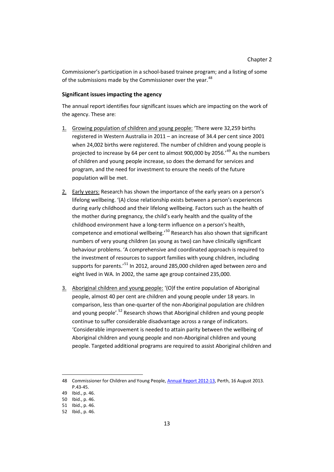Commissioner's participation in a school-based trainee program; and a listing of some of the submissions made by the Commissioner over the vear.<sup>[48](#page-25-5)</sup>

#### **Significant issues impacting the agency**

The annual report identifies four significant issues which are impacting on the work of the agency. These are:

- 1. Growing population of children and young people: 'There were 32,259 births registered in Western Australia in 2011 – an increase of 34.4 per cent since 2001 when 24,002 births were registered. The number of children and young people is projected to increase by 64 per cent to almost 900,000 by 2056.<sup>'[49](#page-26-0)</sup> As the numbers of children and young people increase, so does the demand for services and program, and the need for investment to ensure the needs of the future population will be met.
- 2. Early years: Research has shown the importance of the early years on a person's lifelong wellbeing. '(A) close relationship exists between a person's experiences during early childhood and their lifelong wellbeing. Factors such as the health of the mother during pregnancy, the child's early health and the quality of the childhood environment have a long-term influence on a person's health, competence and emotional wellbeing.<sup>[50](#page-26-1)</sup> Research has also shown that significant numbers of very young children (as young as two) can have clinically significant behaviour problems. 'A comprehensive and coordinated approach is required to the investment of resources to support families with young children, including supports for parents.'<sup>[51](#page-26-2)</sup> In 2012, around 285,000 children aged between zero and eight lived in WA. In 2002, the same age group contained 235,000.
- 3. Aboriginal children and young people: '(O)f the entire population of Aboriginal people, almost 40 per cent are children and young people under 18 years. In comparison, less than one-quarter of the non-Aboriginal population are children and young people'.<sup>[52](#page-26-3)</sup> Research shows that Aboriginal children and young people continue to suffer considerable disadvantage across a range of indicators. 'Considerable improvement is needed to attain parity between the wellbeing of Aboriginal children and young people and non-Aboriginal children and young people. Targeted additional programs are required to assist Aboriginal children and

<sup>48</sup> Commissioner for Children and Young People[, Annual Report 2012-13,](http://www.ccyp.wa.gov.au/content.aspx?cID=755) Perth, 16 August 2013. P.43-45.

<span id="page-26-0"></span><sup>49</sup> Ibid., p. 46.

<span id="page-26-1"></span><sup>50</sup> Ibid., p. 46.

<span id="page-26-2"></span><sup>51</sup> Ibid., p. 46.

<span id="page-26-3"></span><sup>52</sup> Ibid., p. 46.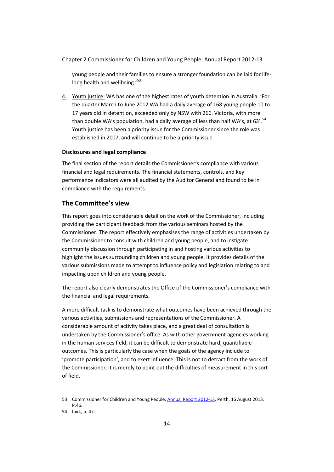Chapter 2 Commissioner for Children and Young People: Annual Report 2012-13

young people and their families to ensure a stronger foundation can be laid for life-long health and wellbeing.'<sup>[53](#page-26-1)</sup>

4. Youth justice: WA has one of the highest rates of youth detention in Australia. 'For the quarter March to June 2012 WA had a daily average of 168 young people 10 to 17 years old in detention, exceeded only by NSW with 266. Victoria, with more than double WA's population, had a daily average of less than half WA's, at 63'.<sup>[54](#page-27-0)</sup> Youth justice has been a priority issue for the Commissioner since the role was established in 2007, and will continue to be a priority issue.

#### **Disclosures and legal compliance**

The final section of the report details the Commissioner's compliance with various financial and legal requirements. The financial statements, controls, and key performance indicators were all audited by the Auditor General and found to be in compliance with the requirements.

### **The Committee's view**

This report goes into considerable detail on the work of the Commissioner, including providing the participant feedback from the various seminars hosted by the Commissioner. The report effectively emphasises the range of activities undertaken by the Commissioner to consult with children and young people, and to instigate community discussion through participating in and hosting various activities to highlight the issues surrounding children and young people. It provides details of the various submissions made to attempt to influence policy and legislation relating to and impacting upon children and young people.

The report also clearly demonstrates the Office of the Commissioner's compliance with the financial and legal requirements.

A more difficult task is to demonstrate what outcomes have been achieved through the various activities, submissions and representations of the Commissioner. A considerable amount of activity takes place, and a great deal of consultation is undertaken by the Commissioner's office. As with other government agencies working in the human services field, it can be difficult to demonstrate hard, quantifiable outcomes. This is particularly the case when the goals of the agency include to 'promote participation', and to exert influence. This is not to detract from the work of the Commissioner, it is merely to point out the difficulties of measurement in this sort of field.

<span id="page-27-1"></span> $\ddot{\phantom{a}}$ 53 Commissioner for Children and Young People[, Annual Report 2012-13,](http://www.ccyp.wa.gov.au/content.aspx?cID=755) Perth, 16 August 2013. P.46.

<span id="page-27-0"></span><sup>54</sup> Ibid., p. 47.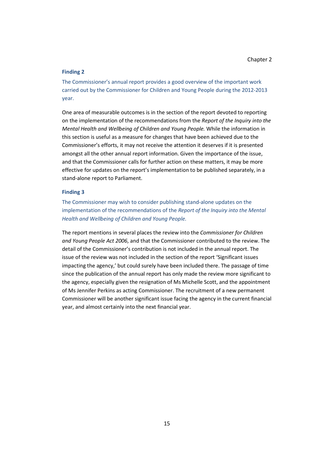#### **Finding 2**

The Commissioner's annual report provides a good overview of the important work carried out by the Commissioner for Children and Young People during the 2012-2013 year.

One area of measurable outcomes is in the section of the report devoted to reporting on the implementation of the recommendations from the *Report of the Inquiry into the Mental Health and Wellbeing of Children and Young People.* While the information in this section is useful as a measure for changes that have been achieved due to the Commissioner's efforts, it may not receive the attention it deserves if it is presented amongst all the other annual report information. Given the importance of the issue, and that the Commissioner calls for further action on these matters, it may be more effective for updates on the report's implementation to be published separately, in a stand-alone report to Parliament.

#### **Finding 3**

The Commissioner may wish to consider publishing stand-alone updates on the implementation of the recommendations of the *Report of the Inquiry into the Mental Health and Wellbeing of Children and Young People.*

The report mentions in several places the review into the *Commissioner for Children and Young People Act 2006*, and that the Commissioner contributed to the review. The detail of the Commissioner's contribution is not included in the annual report. The issue of the review was not included in the section of the report 'Significant issues impacting the agency,' but could surely have been included there. The passage of time since the publication of the annual report has only made the review more significant to the agency, especially given the resignation of Ms Michelle Scott, and the appointment of Ms Jennifer Perkins as acting Commissioner. The recruitment of a new permanent Commissioner will be another significant issue facing the agency in the current financial year, and almost certainly into the next financial year.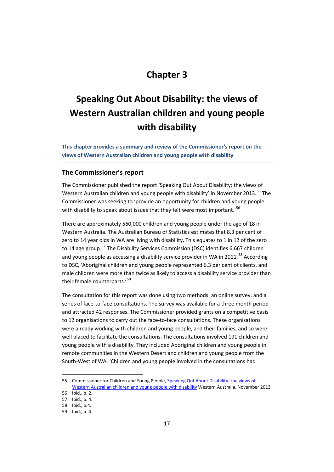### **Chapter 3**

## **Speaking Out About Disability: the views of Western Australian children and young people with disability**

**This chapter provides a summary and review of the Commissioner's report on the views of Western Australian children and young people with disability**

#### **The Commissioner's report**

The Commissioner published the report 'Speaking Out About Disability: the views of Western Australian children and young people with disability' in November 2013.<sup>[55](#page-27-1)</sup> The Commissioner was seeking to 'provide an opportunity for children and young people with disability to speak about issues that they felt were most important.<sup>'[56](#page-30-0)</sup>

There are approximately 560,000 children and young people under the age of 18 in Western Australia. The Australian Bureau of Statistics estimates that 8.3 per cent of zero to 14 year olds in WA are living with disability. This equates to 1 in 12 of the zero to 14 age group.<sup>[57](#page-30-1)</sup> The Disability Services Commission (DSC) identifies 6,667 children and young people as accessing a disability service provider in WA in 2011.<sup>[58](#page-30-2)</sup> According to DSC, 'Aboriginal children and young people represented 6.3 per cent of clients, and male children were more than twice as likely to access a disability service provider than their female counterparts.'<sup>[59](#page-30-3)</sup>

The consultation for this report was done using two methods: an online survey, and a series of face-to-face consultations. The survey was available for a three month period and attracted 42 responses. The Commissioner provided grants on a competitive basis to 12 organisations to carry out the face-to-face consultations. These organisations were already working with children and young people, and their families, and so were well placed to facilitate the consultations. The consultations involved 191 children and young people with a disability. They included Aboriginal children and young people in remote communities in the Western Desert and children and young people from the South-West of WA. 'Children and young people involved in the consultations had

<span id="page-30-4"></span><sup>55</sup> Commissioner for Children and Young People, Speaking Out About Disability: the views of [Western Australian children and young people with disability](http://www.ccyp.wa.gov.au/content.aspx?cID=740) Western Australia, November 2013.

<span id="page-30-0"></span><sup>56</sup> Ibid., p. 2.

<span id="page-30-1"></span><sup>57</sup> Ibid., p. 4.

<span id="page-30-2"></span><sup>58</sup> Ibid., p.4.

<span id="page-30-3"></span><sup>59</sup> Ibid., p. 4.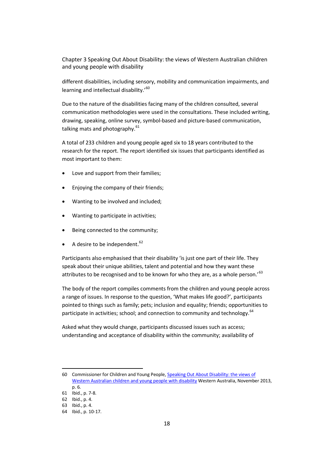Chapter 3 Speaking Out About Disability: the views of Western Australian children and young people with disability

different disabilities, including sensory, mobility and communication impairments, and learning and intellectual disability.'<sup>[60](#page-30-4)</sup>

Due to the nature of the disabilities facing many of the children consulted, several communication methodologies were used in the consultations. These included writing, drawing, speaking, online survey, symbol-based and picture-based communication, talking mats and photography. $61$ 

A total of 233 children and young people aged six to 18 years contributed to the research for the report. The report identified six issues that participants identified as most important to them:

- Love and support from their families;
- Enjoying the company of their friends;
- Wanting to be involved and included;
- Wanting to participate in activities;
- Being connected to the community;
- A desire to be independent.  $62$

Participants also emphasised that their disability 'is just one part of their life. They speak about their unique abilities, talent and potential and how they want these attributes to be recognised and to be known for who they are, as a whole person.'<sup>[63](#page-31-2)</sup>

The body of the report compiles comments from the children and young people across a range of issues. In response to the question, 'What makes life good?', participants pointed to things such as family; pets; inclusion and equality; friends; opportunities to participate in activities; school; and connection to community and technology.<sup>[64](#page-31-3)</sup>

Asked what they would change, participants discussed issues such as access; understanding and acceptance of disability within the community; availability of

<span id="page-31-4"></span> $\ddot{\phantom{a}}$ 60 Commissioner for Children and Young People[, Speaking Out About Disability: the views of](http://www.ccyp.wa.gov.au/content.aspx?cID=740)  [Western Australian children and young people with disability](http://www.ccyp.wa.gov.au/content.aspx?cID=740) Western Australia, November 2013, p. 6.

<span id="page-31-0"></span><sup>61</sup> Ibid., p. 7-8.

<span id="page-31-1"></span><sup>62</sup> Ibid., p. 4.

<span id="page-31-2"></span><sup>63</sup> Ibid., p. 4.

<span id="page-31-3"></span><sup>64</sup> Ibid., p. 10-17.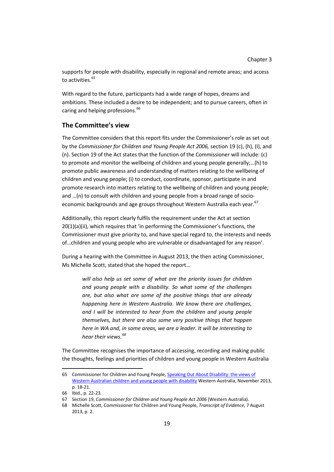supports for people with disability, especially in regional and remote areas; and access to activities [65](#page-31-4)

With regard to the future, participants had a wide range of hopes, dreams and ambitions. These included a desire to be independent; and to pursue careers, often in caring and helping professions.<sup>[66](#page-32-0)</sup>

### **The Committee's view**

The Committee considers that this report fits under the Commissioner's role as set out by the *Commissioner for Children and Young People Act 2006,* section 19 (c), (h), (I), and (n). Section 19 of the Act states that the function of the Commissioner will include: (c) to promote and monitor the wellbeing of children and young people generally;…(h) to promote public awareness and understanding of matters relating to the wellbeing of children and young people; (i) to conduct, coordinate, sponsor, participate in and promote research into matters relating to the wellbeing of children and young people; and …(n) to consult with children and young people from a broad range of socio-economic backgrounds and age groups throughout Western Australia each year.<sup>[67](#page-32-1)</sup>

Additionally, this report clearly fulfils the requirement under the Act at section 20(1)(a)(ii), which requires that 'in performing the Commissioner's functions, the Commissioner must give priority to, and have special regard to, the interests and needs of…children and young people who are vulnerable or disadvantaged for any reason'.

During a hearing with the Committee in August 2013, the then acting Commissioner, Ms Michelle Scott, stated that she hoped the report…

*will also help us set some of what are the priority issues for children and young people with a disability. So what some of the challenges are, but also what are some of the positive things that are already happening here in Western Australia. We know there are challenges, and I will be interested to hear from the children and young people themselves, but there are also some very positive things that happen here in WA and, in some areas, we are a leader. It will be interesting to hear their views.[68](#page-32-2)*

The Committee recognises the importance of accessing, recording and making public the thoughts, feelings and priorities of children and young people in Western Australia

 $\ddot{\phantom{a}}$ 

<sup>65</sup> Commissioner for Children and Young People[, Speaking Out About Disability: the views of](http://www.ccyp.wa.gov.au/content.aspx?cID=740)  [Western Australian children and young people with disability](http://www.ccyp.wa.gov.au/content.aspx?cID=740) Western Australia, November 2013, p. 18-21.

<span id="page-32-3"></span><span id="page-32-0"></span><sup>66</sup> Ibid., p. 22-23.

<span id="page-32-1"></span><sup>67</sup> Section 19, *Commissioner for Children and Young People Act 2006* (Western Australia).

<span id="page-32-2"></span><sup>68</sup> Michelle Scott, Commissioner for Children and Young People, *Transcript of Evidence*, 7 August 2013, p. 2.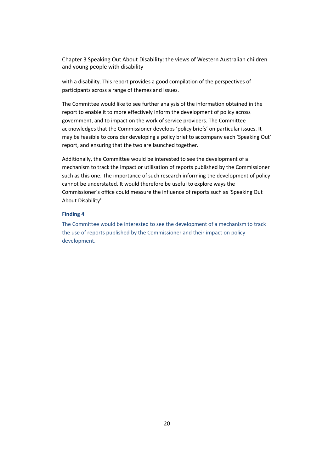Chapter 3 Speaking Out About Disability: the views of Western Australian children and young people with disability

with a disability. This report provides a good compilation of the perspectives of participants across a range of themes and issues.

The Committee would like to see further analysis of the information obtained in the report to enable it to more effectively inform the development of policy across government, and to impact on the work of service providers. The Committee acknowledges that the Commissioner develops 'policy briefs' on particular issues. It may be feasible to consider developing a policy brief to accompany each 'Speaking Out' report, and ensuring that the two are launched together.

Additionally, the Committee would be interested to see the development of a mechanism to track the impact or utilisation of reports published by the Commissioner such as this one. The importance of such research informing the development of policy cannot be understated. It would therefore be useful to explore ways the Commissioner's office could measure the influence of reports such as 'Speaking Out About Disability'.

#### **Finding 4**

The Committee would be interested to see the development of a mechanism to track the use of reports published by the Commissioner and their impact on policy development.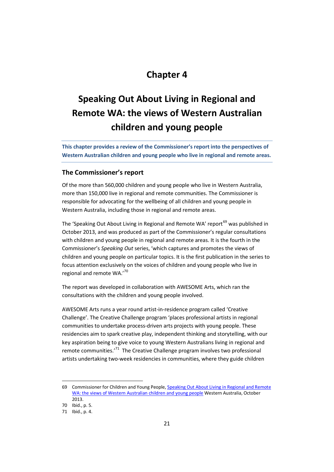### **Chapter 4**

## **Speaking Out About Living in Regional and Remote WA: the views of Western Australian children and young people**

**This chapter provides a review of the Commissioner's report into the perspectives of Western Australian children and young people who live in regional and remote areas.** 

#### **The Commissioner's report**

Of the more than 560,000 children and young people who live in Western Australia, more than 150,000 live in regional and remote communities. The Commissioner is responsible for advocating for the wellbeing of all children and young people in Western Australia, including those in regional and remote areas.

The 'Speaking Out About Living in Regional and Remote WA' report<sup>[69](#page-32-3)</sup> was published in October 2013, and was produced as part of the Commissioner's regular consultations with children and young people in regional and remote areas. It is the fourth in the Commissioner's *Speaking Out* series, 'which captures and promotes the views of children and young people on particular topics. It is the first publication in the series to focus attention exclusively on the voices of children and young people who live in regional and remote WA.'[70](#page-34-0)

The report was developed in collaboration with AWESOME Arts, which ran the consultations with the children and young people involved.

AWESOME Arts runs a year round artist-in-residence program called 'Creative Challenge'. The Creative Challenge program 'places professional artists in regional communities to undertake process-driven arts projects with young people. These residencies aim to spark creative play, independent thinking and storytelling, with our key aspiration being to give voice to young Western Australians living in regional and remote communities.<sup>'71</sup> The Creative Challenge program involves two professional artists undertaking two-week residencies in communities, where they guide children

<sup>69</sup> Commissioner for Children and Young People, Speaking Out About Living in Regional and Remote [WA: the views of Western Australian children and young people](http://www.ccyp.wa.gov.au/files/Other%20resources/Speaking%20Out%20About%20Living%20in%20Regional%20and%20Remote%20WA.pdf) Western Australia, October 2013.

<span id="page-34-2"></span><span id="page-34-0"></span><sup>70</sup> Ibid., p. 5.

<span id="page-34-1"></span><sup>71</sup> Ibid., p. 4.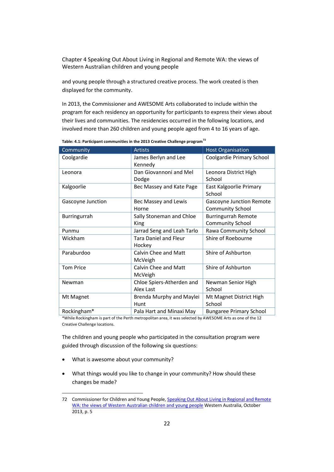Chapter 4 Speaking Out About Living in Regional and Remote WA: the views of Western Australian children and young people

and young people through a structured creative process. The work created is then displayed for the community.

In 2013, the Commissioner and AWESOME Arts collaborated to include within the program for each residency an opportunity for participants to express their views about their lives and communities. The residencies occurred in the following locations, and involved more than 260 children and young people aged from 4 to 16 years of age.

| Community         | <b>Artists</b>                         | <b>Host Organisation</b>                                   |
|-------------------|----------------------------------------|------------------------------------------------------------|
| Coolgardie        | James Berlyn and Lee<br>Kennedy        | Coolgardie Primary School                                  |
| Leonora           | Dan Giovannoni and Mel<br>Dodge        | Leonora District High<br>School                            |
| Kalgoorlie        | Bec Massey and Kate Page               | East Kalgoorlie Primary<br>School                          |
| Gascoyne Junction | Bec Massey and Lewis<br>Horne          | <b>Gascoyne Junction Remote</b><br><b>Community School</b> |
| Burringurrah      | Sally Stoneman and Chloe<br>King       | <b>Burringurrah Remote</b><br><b>Community School</b>      |
| Punmu             | Jarrad Seng and Leah Tarlo             | Rawa Community School                                      |
| Wickham           | <b>Tara Daniel and Fleur</b><br>Hockey | Shire of Roebourne                                         |
| Paraburdoo        | Calvin Chee and Matt<br>McVeigh        | Shire of Ashburton                                         |
| <b>Tom Price</b>  | Calvin Chee and Matt<br>McVeigh        | Shire of Ashburton                                         |
| Newman            | Chloe Spiers-Atherden and<br>Alex Last | Newman Senior High<br>School                               |
| Mt Magnet         | Brenda Murphy and Maylei<br>Hunt       | Mt Magnet District High<br>School                          |
| Rockingham*       | Pala Hart and Minaxi May               | <b>Bungaree Primary School</b>                             |

**Table: 4.1: Participant communities in the 2013 Creative Challenge program[72](#page-34-2)**

\*While Rockingham is part of the Perth metropolitan area, it was selected by AWESOME Arts as one of the 12 Creative Challenge locations.

The children and young people who participated in the consultation program were guided through discussion of the following six questions:

• What is awesome about your community?

 $\ddot{\phantom{a}}$ 

<span id="page-35-0"></span>• What things would you like to change in your community? How should these changes be made?

<sup>72</sup> Commissioner for Children and Young People[, Speaking Out About Living in Regional and Remote](http://www.ccyp.wa.gov.au/files/Other%20resources/Speaking%20Out%20About%20Living%20in%20Regional%20and%20Remote%20WA.pdf)  [WA: the views of Western Australian children and young people](http://www.ccyp.wa.gov.au/files/Other%20resources/Speaking%20Out%20About%20Living%20in%20Regional%20and%20Remote%20WA.pdf) Western Australia, October 2013, p. 5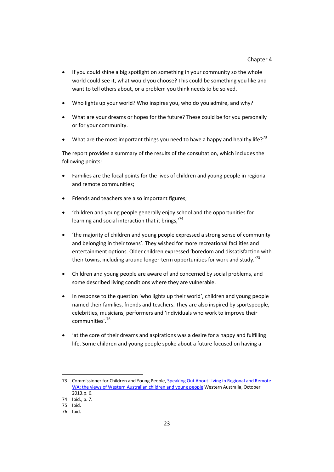- If you could shine a big spotlight on something in your community so the whole world could see it, what would you choose? This could be something you like and want to tell others about, or a problem you think needs to be solved.
- Who lights up your world? Who inspires you, who do you admire, and why?
- What are your dreams or hopes for the future? These could be for you personally or for your community.
- What are the most important things you need to have a happy and healthy life?<sup>[73](#page-35-0)</sup>

The report provides a summary of the results of the consultation, which includes the following points:

- Families are the focal points for the lives of children and young people in regional and remote communities;
- Friends and teachers are also important figures;
- 'children and young people generally enjoy school and the opportunities for learning and social interaction that it brings,<sup>[74](#page-36-0)</sup>
- 'the majority of children and young people expressed a strong sense of community and belonging in their towns'. They wished for more recreational facilities and entertainment options. Older children expressed 'boredom and dissatisfaction with their towns, including around longer-term opportunities for work and study.<sup>[75](#page-36-1)</sup>
- Children and young people are aware of and concerned by social problems, and some described living conditions where they are vulnerable.
- In response to the question 'who lights up their world', children and young people named their families, friends and teachers. They are also inspired by sportspeople, celebrities, musicians, performers and 'individuals who work to improve their communities'.[76](#page-36-2)
- 'at the core of their dreams and aspirations was a desire for a happy and fulfilling life. Some children and young people spoke about a future focused on having a

<span id="page-36-3"></span><sup>73</sup> Commissioner for Children and Young People[, Speaking Out About Living in Regional and Remote](http://www.ccyp.wa.gov.au/files/Other%20resources/Speaking%20Out%20About%20Living%20in%20Regional%20and%20Remote%20WA.pdf)  [WA: the views of Western Australian children and young people](http://www.ccyp.wa.gov.au/files/Other%20resources/Speaking%20Out%20About%20Living%20in%20Regional%20and%20Remote%20WA.pdf) Western Australia, October 2013.p. 6.

<span id="page-36-0"></span><sup>74</sup> Ibid., p. 7.

<span id="page-36-2"></span><span id="page-36-1"></span><sup>75</sup> Ibid.

<sup>76</sup> Ibid.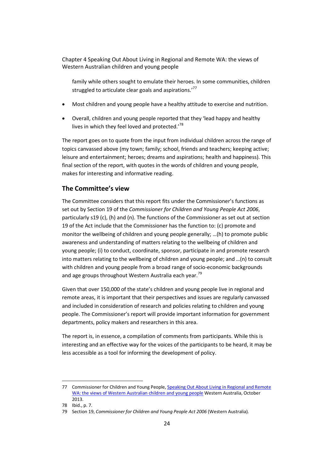Chapter 4 Speaking Out About Living in Regional and Remote WA: the views of Western Australian children and young people

family while others sought to emulate their heroes. In some communities, children struggled to articulate clear goals and aspirations.'<sup>[77](#page-36-3)</sup>

- Most children and young people have a healthy attitude to exercise and nutrition.
- Overall, children and young people reported that they 'lead happy and healthy lives in which they feel loved and protected.'<sup>[78](#page-37-0)</sup>

The report goes on to quote from the input from individual children across the range of topics canvassed above (my town; family; school, friends and teachers; keeping active; leisure and entertainment; heroes; dreams and aspirations; health and happiness). This final section of the report, with quotes in the words of children and young people, makes for interesting and informative reading.

### **The Committee's view**

The Committee considers that this report fits under the Commissioner's functions as set out by Section 19 of the *Commissioner for Children and Young People Act 2006*, particularly s19 (c), (h) and (n). The functions of the Commissioner as set out at section 19 of the Act include that the Commissioner has the function to: (c) promote and monitor the wellbeing of children and young people generally; …(h) to promote public awareness and understanding of matters relating to the wellbeing of children and young people; (i) to conduct, coordinate, sponsor, participate in and promote research into matters relating to the wellbeing of children and young people; and …(n) to consult with children and young people from a broad range of socio-economic backgrounds and age groups throughout Western Australia each year.<sup>[79](#page-37-1)</sup>

Given that over 150,000 of the state's children and young people live in regional and remote areas, it is important that their perspectives and issues are regularly canvassed and included in consideration of research and policies relating to children and young people. The Commissioner's report will provide important information for government departments, policy makers and researchers in this area.

The report is, in essence, a compilation of comments from participants. While this is interesting and an effective way for the voices of the participants to be heard, it may be less accessible as a tool for informing the development of policy.

 $\overline{a}$ 77 Commissioner for Children and Young People, Speaking Out About Living in Regional and Remote [WA: the views of Western Australian children and young people](http://www.ccyp.wa.gov.au/files/Other%20resources/Speaking%20Out%20About%20Living%20in%20Regional%20and%20Remote%20WA.pdf) Western Australia, October 2013.

<span id="page-37-1"></span><span id="page-37-0"></span><sup>78</sup> Ibid., p. 7.

<sup>79</sup> Section 19, *Commissioner for Children and Young People Act 2006* (Western Australia)*.*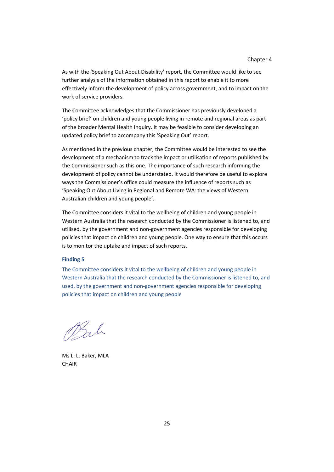As with the 'Speaking Out About Disability' report, the Committee would like to see further analysis of the information obtained in this report to enable it to more effectively inform the development of policy across government, and to impact on the work of service providers.

The Committee acknowledges that the Commissioner has previously developed a 'policy brief' on children and young people living in remote and regional areas as part of the broader Mental Health Inquiry. It may be feasible to consider developing an updated policy brief to accompany this 'Speaking Out' report.

As mentioned in the previous chapter, the Committee would be interested to see the development of a mechanism to track the impact or utilisation of reports published by the Commissioner such as this one. The importance of such research informing the development of policy cannot be understated. It would therefore be useful to explore ways the Commissioner's office could measure the influence of reports such as 'Speaking Out About Living in Regional and Remote WA: the views of Western Australian children and young people'.

The Committee considers it vital to the wellbeing of children and young people in Western Australia that the research conducted by the Commissioner is listened to, and utilised, by the government and non-government agencies responsible for developing policies that impact on children and young people. One way to ensure that this occurs is to monitor the uptake and impact of such reports.

#### **Finding 5**

The Committee considers it vital to the wellbeing of children and young people in Western Australia that the research conducted by the Commissioner is listened to, and used, by the government and non-government agencies responsible for developing policies that impact on children and young people

Bah

Ms L. L. Baker, MLA **CHAIR**